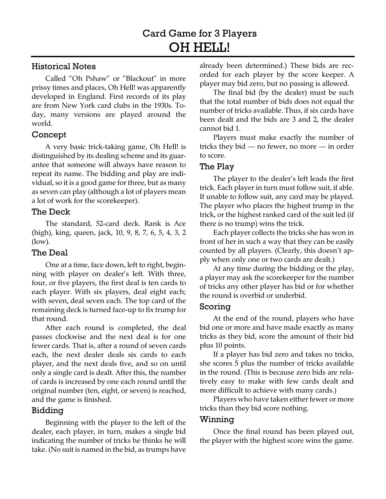### Historical Notes

Called "Oh Pshaw" or "Blackout" in more prissy times and places, Oh Hell! was apparently developed in England. First records of its play are from New York card clubs in the 1930s. Today, many versions are played around the world.

### Concept

A very basic trick-taking game, Oh Hell! is distinguished by its dealing scheme and its guarantee that someone will always have reason to repeat its name. The bidding and play are individual, so it is a good game for three, but as many as seven can play (although a lot of players mean a lot of work for the scorekeeper).

### The Deck

The standard, 52-card deck. Rank is Ace (high), king, queen, jack, 10, 9, 8, 7, 6, 5, 4, 3, 2 (low).

## The Deal

One at a time, face down, left to right, beginning with player on dealer's left. With three, four, or five players, the first deal is ten cards to each player. With six players, deal eight each; with seven, deal seven each. The top card of the remaining deck is turned face-up to fix trump for that round.

After each round is completed, the deal passes clockwise and the next deal is for one fewer cards. That is, after a round of seven cards each, the next dealer deals six cards to each player, and the next deals five, and so on until only a single card is dealt. After this, the number of cards is increased by one each round until the original number (ten, eight, or seven) is reached, and the game is finished.

## Bidding

Beginning with the player to the left of the dealer, each player, in turn, makes a single bid indicating the number of tricks he thinks he will take. (No suit is named in the bid, as trumps have already been determined.) These bids are recorded for each player by the score keeper. A player may bid zero, but no passing is allowed.

The final bid (by the dealer) must be such that the total number of bids does not equal the number of tricks available. Thus, if six cards have been dealt and the bids are 3 and 2, the dealer cannot bid 1.

Players must make exactly the number of tricks they bid — no fewer, no more — in order to score.

#### The Play

The player to the dealer's left leads the first trick. Each player in turn must follow suit, if able. If unable to follow suit, any card may be played. The player who places the highest trump in the trick, or the highest ranked card of the suit led (if there is no trump) wins the trick.

Each player collects the tricks she has won in front of her in such a way that they can be easily counted by all players. (Clearly, this doesn't apply when only one or two cards are dealt.)

At any time during the bidding or the play, a player may ask the scorekeeper for the number of tricks any other player has bid or for whether the round is overbid or underbid.

## Scoring

At the end of the round, players who have bid one or more and have made exactly as many tricks as they bid, score the amount of their bid plus 10 points.

If a player has bid zero and takes no tricks, she scores 5 plus the number of tricks available in the round. (This is because zero bids are relatively easy to make with few cards dealt and more difficult to achieve with many cards.)

Players who have taken either fewer or more tricks than they bid score nothing.

#### Winning

Once the final round has been played out, the player with the highest score wins the game.